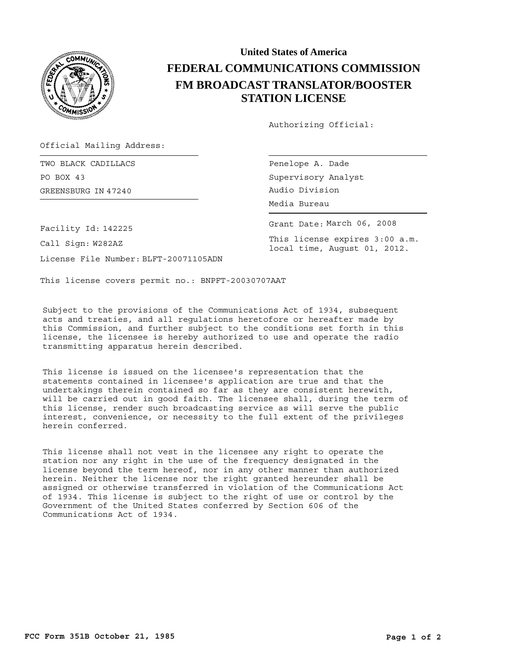

## **United States of America FEDERAL COMMUNICATIONS COMMISSION FM BROADCAST TRANSLATOR/BOOSTER STATION LICENSE**

Authorizing Official:

Official Mailing Address:

GREENSBURG Audio Division IN 47240 TWO BLACK CADILLACS PO BOX 43

Penelope A. Dade Supervisory Analyst Media Bureau

Grant Date: March 06, 2008

This license expires 3:00 a.m. local time, August 01, 2012.

Facility Id: 142225

Call Sign: W282AZ

License File Number: BLFT-20071105ADN

This license covers permit no.: BNPFT-20030707AAT

Subject to the provisions of the Communications Act of 1934, subsequent acts and treaties, and all regulations heretofore or hereafter made by this Commission, and further subject to the conditions set forth in this license, the licensee is hereby authorized to use and operate the radio transmitting apparatus herein described.

This license is issued on the licensee's representation that the statements contained in licensee's application are true and that the undertakings therein contained so far as they are consistent herewith, will be carried out in good faith. The licensee shall, during the term of this license, render such broadcasting service as will serve the public interest, convenience, or necessity to the full extent of the privileges herein conferred.

This license shall not vest in the licensee any right to operate the station nor any right in the use of the frequency designated in the license beyond the term hereof, nor in any other manner than authorized herein. Neither the license nor the right granted hereunder shall be assigned or otherwise transferred in violation of the Communications Act of 1934. This license is subject to the right of use or control by the Government of the United States conferred by Section 606 of the Communications Act of 1934.